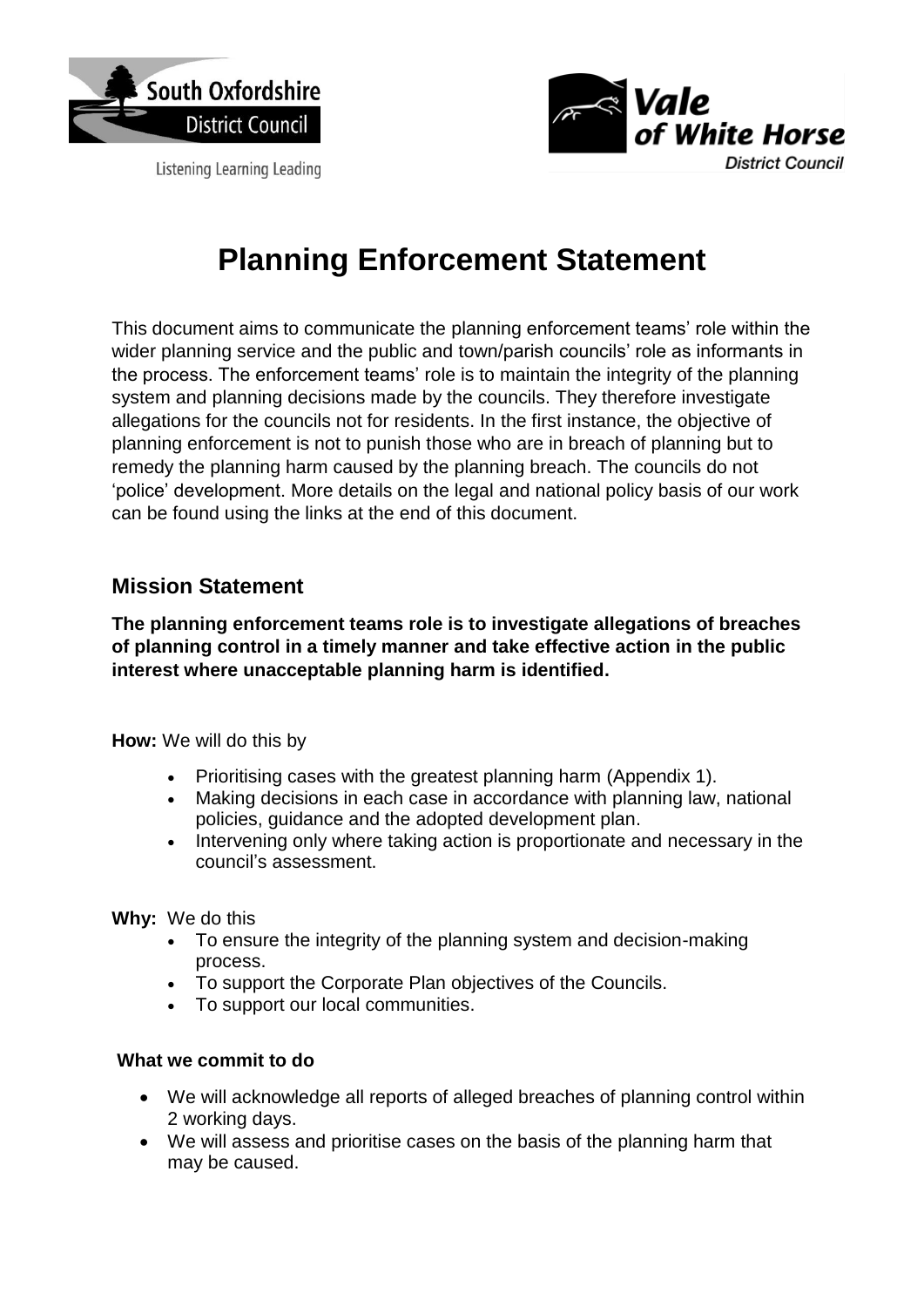

Listening Learning Leading



# **Planning Enforcement Statement**

This document aims to communicate the planning enforcement teams' role within the wider planning service and the public and town/parish councils' role as informants in the process. The enforcement teams' role is to maintain the integrity of the planning system and planning decisions made by the councils. They therefore investigate allegations for the councils not for residents. In the first instance, the objective of planning enforcement is not to punish those who are in breach of planning but to remedy the planning harm caused by the planning breach. The councils do not 'police' development. More details on the legal and national policy basis of our work can be found using the links at the end of this document.

### **Mission Statement**

**The planning enforcement teams role is to investigate allegations of breaches of planning control in a timely manner and take effective action in the public interest where unacceptable planning harm is identified.**

**How:** We will do this by

- Prioritising cases with the greatest planning harm (Appendix 1).
- Making decisions in each case in accordance with planning law, national policies, guidance and the adopted development plan.
- Intervening only where taking action is proportionate and necessary in the council's assessment.

**Why:** We do this

- To ensure the integrity of the planning system and decision-making process.
- To support the Corporate Plan objectives of the Councils.
- To support our local communities.

#### **What we commit to do**

- We will acknowledge all reports of alleged breaches of planning control within 2 working days.
- We will assess and prioritise cases on the basis of the planning harm that may be caused.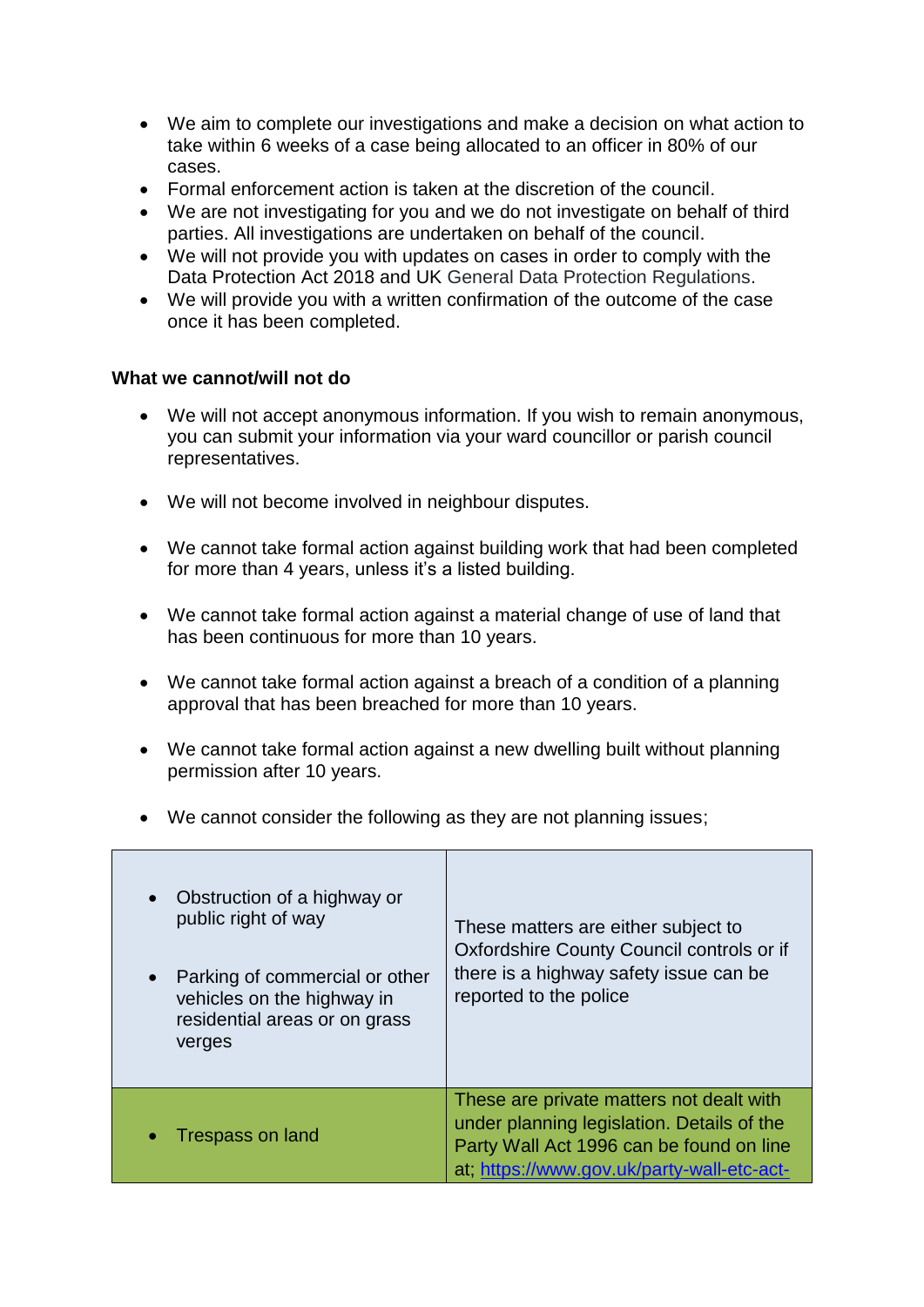- We aim to complete our investigations and make a decision on what action to take within 6 weeks of a case being allocated to an officer in 80% of our cases.
- Formal enforcement action is taken at the discretion of the council.
- We are not investigating for you and we do not investigate on behalf of third parties. All investigations are undertaken on behalf of the council.
- We will not provide you with updates on cases in order to comply with the Data Protection Act 2018 and UK General Data Protection Regulations.
- We will provide you with a written confirmation of the outcome of the case once it has been completed.

#### **What we cannot/will not do**

- We will not accept anonymous information. If you wish to remain anonymous, you can submit your information via your ward councillor or parish council representatives.
- We will not become involved in neighbour disputes.
- We cannot take formal action against building work that had been completed for more than 4 years, unless it's a listed building.
- We cannot take formal action against a material change of use of land that has been continuous for more than 10 years.
- We cannot take formal action against a breach of a condition of a planning approval that has been breached for more than 10 years.
- We cannot take formal action against a new dwelling built without planning permission after 10 years.
- We cannot consider the following as they are not planning issues;

| Obstruction of a highway or<br>$\bullet$<br>public right of way<br>Parking of commercial or other<br>vehicles on the highway in<br>residential areas or on grass<br>verges | These matters are either subject to<br>Oxfordshire County Council controls or if<br>there is a highway safety issue can be<br>reported to the police                             |
|----------------------------------------------------------------------------------------------------------------------------------------------------------------------------|----------------------------------------------------------------------------------------------------------------------------------------------------------------------------------|
| <b>Trespass on land</b>                                                                                                                                                    | These are private matters not dealt with<br>under planning legislation. Details of the<br>Party Wall Act 1996 can be found on line<br>at; https://www.gov.uk/party-wall-etc-act- |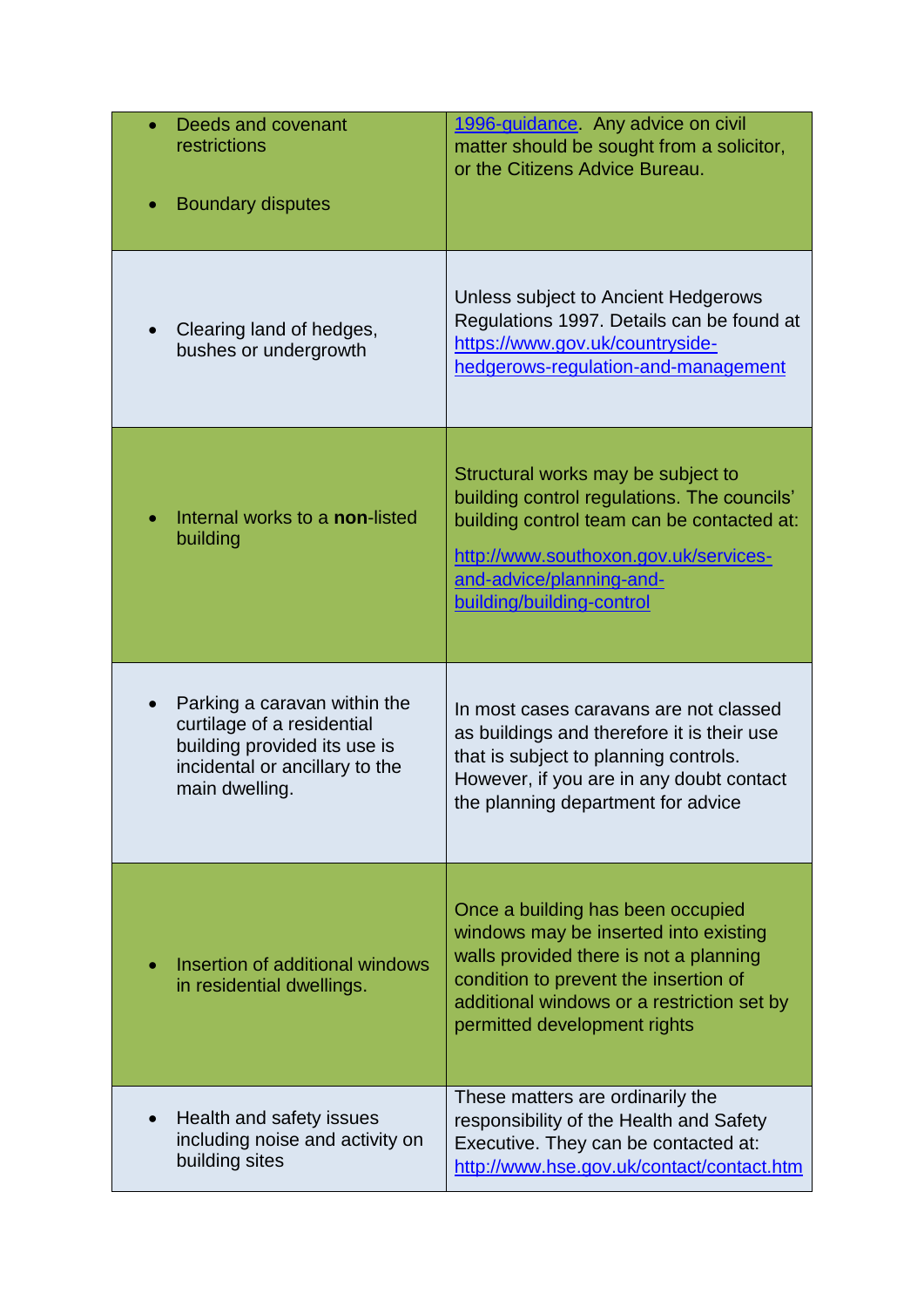| Deeds and covenant<br>restrictions<br><b>Boundary disputes</b>                                                                                 | 1996-guidance. Any advice on civil<br>matter should be sought from a solicitor,<br>or the Citizens Advice Bureau.                                                                                                                           |
|------------------------------------------------------------------------------------------------------------------------------------------------|---------------------------------------------------------------------------------------------------------------------------------------------------------------------------------------------------------------------------------------------|
| Clearing land of hedges,<br>bushes or undergrowth                                                                                              | Unless subject to Ancient Hedgerows<br>Regulations 1997. Details can be found at<br>https://www.gov.uk/countryside-<br>hedgerows-regulation-and-management                                                                                  |
| Internal works to a non-listed<br>building                                                                                                     | Structural works may be subject to<br>building control regulations. The councils'<br>building control team can be contacted at:<br>http://www.southoxon.gov.uk/services-<br>and-advice/planning-and-<br>building/building-control           |
| Parking a caravan within the<br>curtilage of a residential<br>building provided its use is<br>incidental or ancillary to the<br>main dwelling. | In most cases caravans are not classed<br>as buildings and therefore it is their use<br>that is subject to planning controls.<br>However, if you are in any doubt contact<br>the planning department for advice                             |
| Insertion of additional windows<br>in residential dwellings.                                                                                   | Once a building has been occupied<br>windows may be inserted into existing<br>walls provided there is not a planning<br>condition to prevent the insertion of<br>additional windows or a restriction set by<br>permitted development rights |
| Health and safety issues<br>including noise and activity on<br>building sites                                                                  | These matters are ordinarily the<br>responsibility of the Health and Safety<br>Executive. They can be contacted at:<br>http://www.hse.gov.uk/contact/contact.htm                                                                            |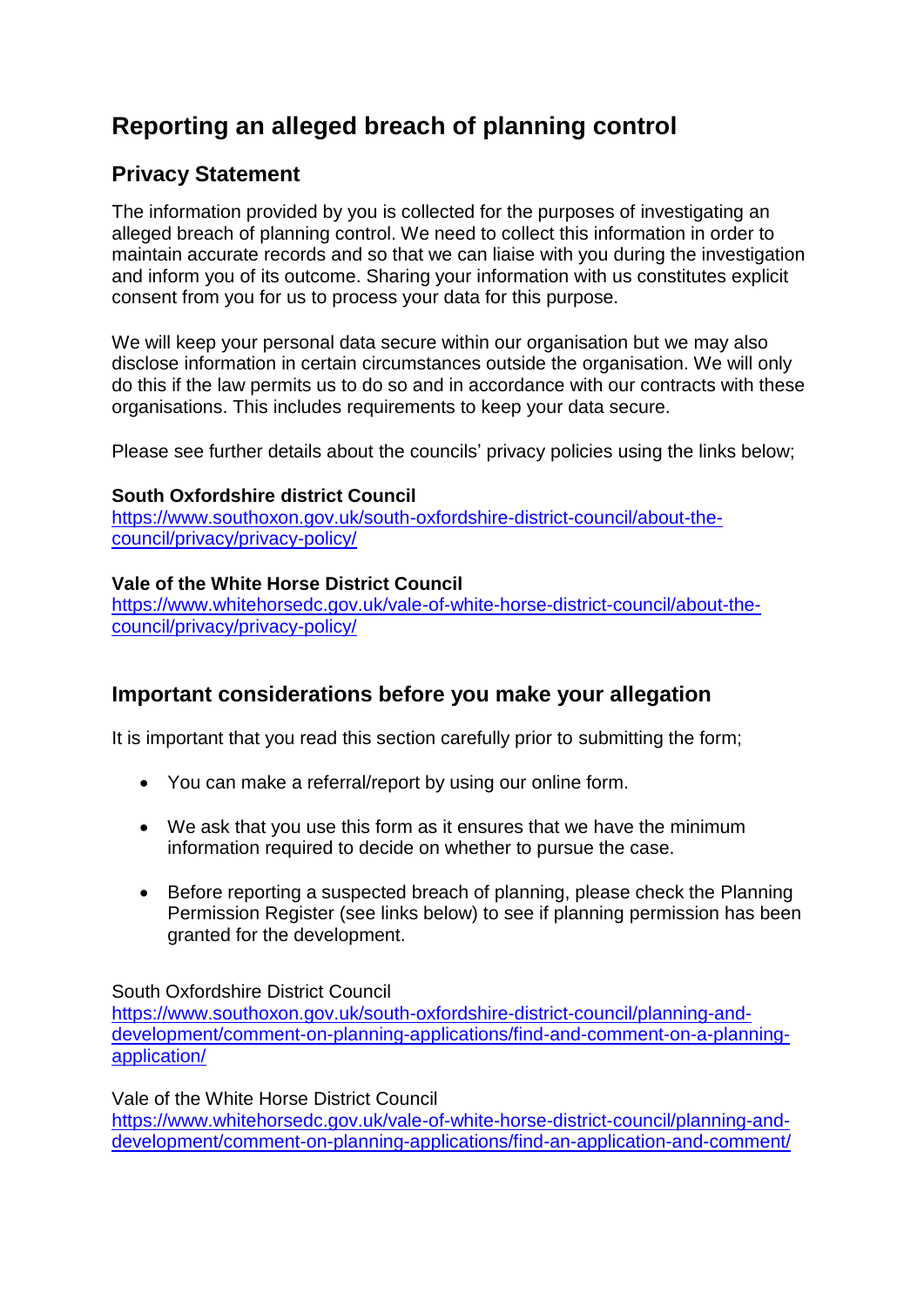## **Reporting an alleged breach of planning control**

## **Privacy Statement**

The information provided by you is collected for the purposes of investigating an alleged breach of planning control. We need to collect this information in order to maintain accurate records and so that we can liaise with you during the investigation and inform you of its outcome. Sharing your information with us constitutes explicit consent from you for us to process your data for this purpose.

We will keep your personal data secure within our organisation but we may also disclose information in certain circumstances outside the organisation. We will only do this if the law permits us to do so and in accordance with our contracts with these organisations. This includes requirements to keep your data secure.

Please see further details about the councils' privacy policies using the links below;

#### **South Oxfordshire district Council**

[https://www.southoxon.gov.uk/south-oxfordshire-district-council/about-the](https://www.southoxon.gov.uk/south-oxfordshire-district-council/about-the-council/privacy/privacy-policy/)[council/privacy/privacy-policy/](https://www.southoxon.gov.uk/south-oxfordshire-district-council/about-the-council/privacy/privacy-policy/)

#### **Vale of the White Horse District Council**

[https://www.whitehorsedc.gov.uk/vale-of-white-horse-district-council/about-the](https://www.whitehorsedc.gov.uk/vale-of-white-horse-district-council/about-the-council/privacy/privacy-policy/)[council/privacy/privacy-policy/](https://www.whitehorsedc.gov.uk/vale-of-white-horse-district-council/about-the-council/privacy/privacy-policy/)

## **Important considerations before you make your allegation**

It is important that you read this section carefully prior to submitting the form;

- You can make a referral/report by using our online form.
- We ask that you use this form as it ensures that we have the minimum information required to decide on whether to pursue the case.
- Before reporting a suspected breach of planning, please check the Planning Permission Register (see links below) to see if planning permission has been granted for the development.

South Oxfordshire District Council

[https://www.southoxon.gov.uk/south-oxfordshire-district-council/planning-and](https://www.southoxon.gov.uk/south-oxfordshire-district-council/planning-and-%20%20%20development/comment-on-planning-applications/find-and-comment-on-a-planning-application/)[development/comment-on-planning-applications/find-and-comment-on-a-planning](https://www.southoxon.gov.uk/south-oxfordshire-district-council/planning-and-%20%20%20development/comment-on-planning-applications/find-and-comment-on-a-planning-application/)[application/](https://www.southoxon.gov.uk/south-oxfordshire-district-council/planning-and-%20%20%20development/comment-on-planning-applications/find-and-comment-on-a-planning-application/)

Vale of the White Horse District Council

[https://www.whitehorsedc.gov.uk/vale-of-white-horse-district-council/planning-and](https://www.whitehorsedc.gov.uk/vale-of-white-horse-district-council/planning-and-development/comment-on-planning-applications/find-an-application-and-comment/)[development/comment-on-planning-applications/find-an-application-and-comment/](https://www.whitehorsedc.gov.uk/vale-of-white-horse-district-council/planning-and-development/comment-on-planning-applications/find-an-application-and-comment/)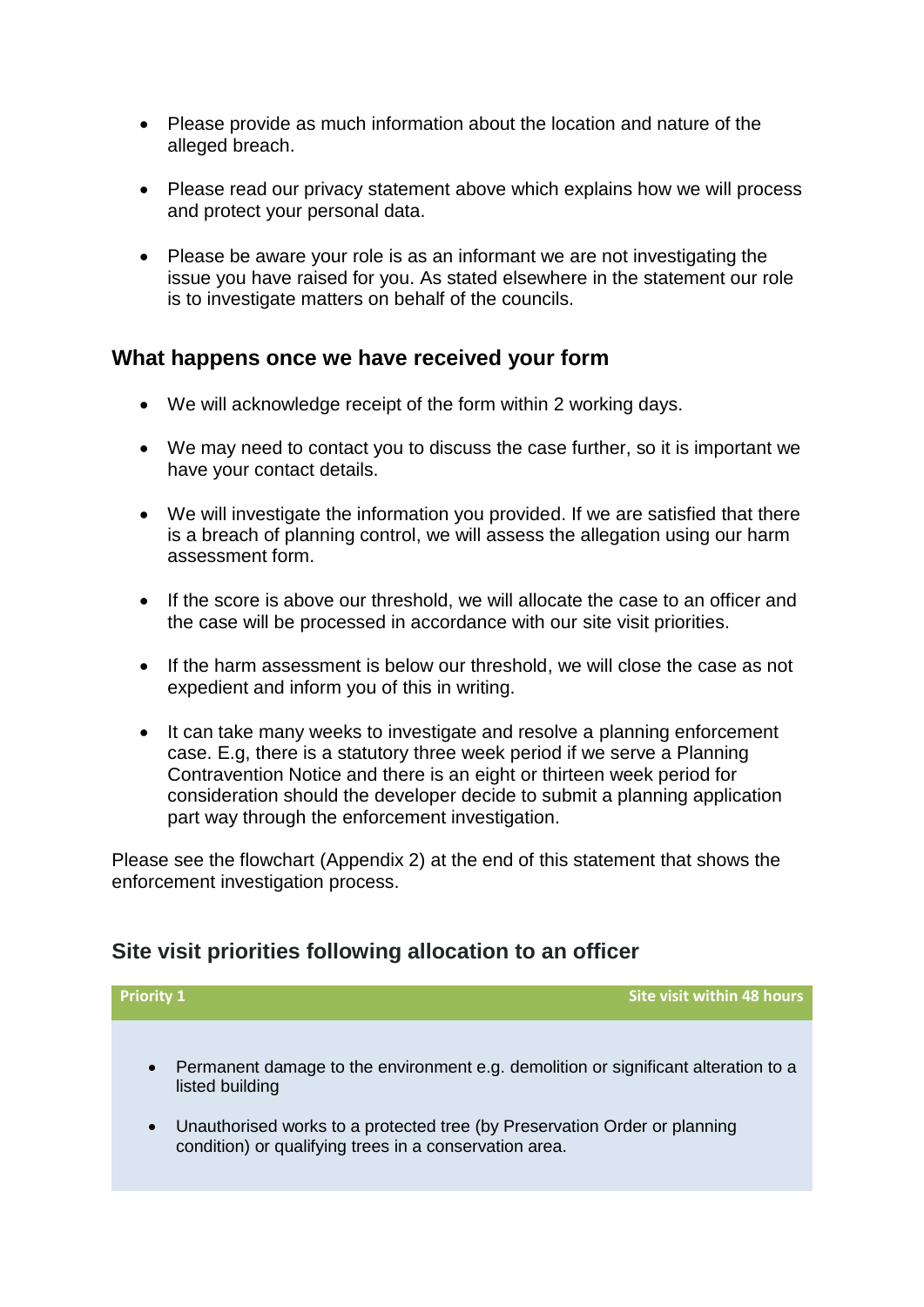- Please provide as much information about the location and nature of the alleged breach.
- Please read our privacy statement above which explains how we will process and protect your personal data.
- Please be aware your role is as an informant we are not investigating the issue you have raised for you. As stated elsewhere in the statement our role is to investigate matters on behalf of the councils.

### **What happens once we have received your form**

- We will acknowledge receipt of the form within 2 working days.
- We may need to contact you to discuss the case further, so it is important we have your contact details.
- We will investigate the information you provided. If we are satisfied that there is a breach of planning control, we will assess the allegation using our harm assessment form.
- If the score is above our threshold, we will allocate the case to an officer and the case will be processed in accordance with our site visit priorities.
- If the harm assessment is below our threshold, we will close the case as not expedient and inform you of this in writing.
- It can take many weeks to investigate and resolve a planning enforcement case. E.g, there is a statutory three week period if we serve a Planning Contravention Notice and there is an eight or thirteen week period for consideration should the developer decide to submit a planning application part way through the enforcement investigation.

Please see the flowchart (Appendix 2) at the end of this statement that shows the enforcement investigation process.

## **Site visit priorities following allocation to an officer**

**Priority 1 Site visit within 48 hours**  Permanent damage to the environment e.g. demolition or significant alteration to a listed building Unauthorised works to a protected tree (by Preservation Order or planning condition) or qualifying trees in a conservation area.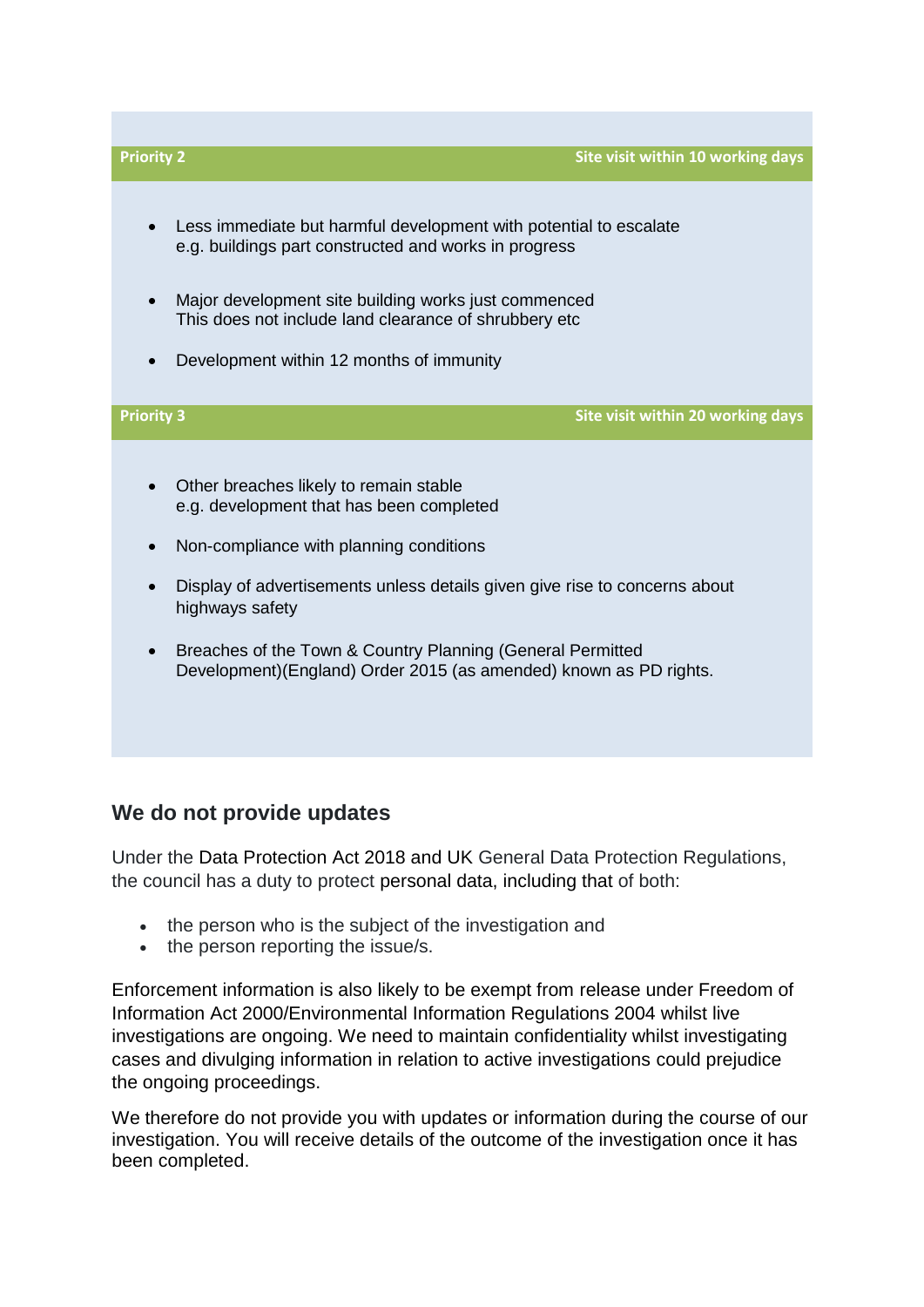

## **We do not provide updates**

Under the Data Protection Act 2018 and UK General Data Protection Regulations, the council has a duty to protect personal data, including that of both:

- the person who is the subject of the investigation and
- the person reporting the issue/s.

Enforcement information is also likely to be exempt from release under Freedom of Information Act 2000/Environmental Information Regulations 2004 whilst live investigations are ongoing. We need to maintain confidentiality whilst investigating cases and divulging information in relation to active investigations could prejudice the ongoing proceedings.

We therefore do not provide you with updates or information during the course of our investigation. You will receive details of the outcome of the investigation once it has been completed.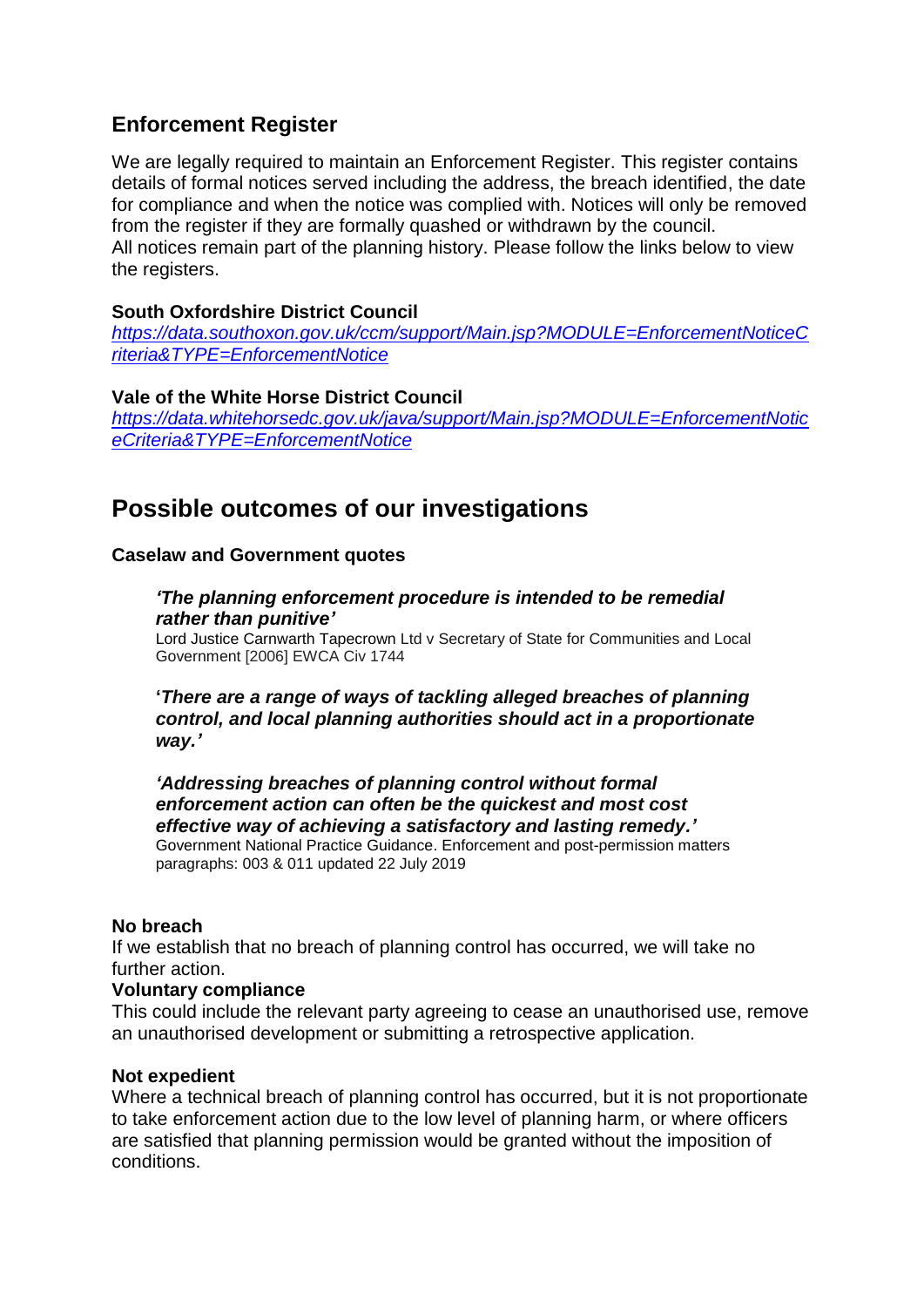## **Enforcement Register**

We are legally required to maintain an Enforcement Register. This register contains details of formal notices served including the address, the breach identified, the date for compliance and when the notice was complied with. Notices will only be removed from the register if they are formally quashed or withdrawn by the council. All notices remain part of the planning history. Please follow the links below to view the registers.

#### **South Oxfordshire District Council**

*[https://data.southoxon.gov.uk/ccm/support/Main.jsp?MODULE=EnforcementNoticeC](https://data.southoxon.gov.uk/ccm/support/Main.jsp?MODULE=EnforcementNoticeCriteria&TYPE=EnforcementNotice) [riteria&TYPE=EnforcementNotice](https://data.southoxon.gov.uk/ccm/support/Main.jsp?MODULE=EnforcementNoticeCriteria&TYPE=EnforcementNotice)*

**Vale of the White Horse District Council** *[https://data.whitehorsedc.gov.uk/java/support/Main.jsp?MODULE=EnforcementNotic](https://data.whitehorsedc.gov.uk/java/support/Main.jsp?MODULE=EnforcementNoticeCriteria&TYPE=EnforcementNotice) [eCriteria&TYPE=EnforcementNotice](https://data.whitehorsedc.gov.uk/java/support/Main.jsp?MODULE=EnforcementNoticeCriteria&TYPE=EnforcementNotice)*

## **Possible outcomes of our investigations**

#### **Caselaw and Government quotes**

#### *'The planning enforcement procedure is intended to be remedial rather than punitive'*

Lord Justice Carnwarth Tapecrown Ltd v Secretary of State for Communities and Local Government [2006] EWCA Civ 1744

**'***There are a range of ways of tackling alleged breaches of planning control, and local planning authorities should act in a proportionate way.'*

*'Addressing breaches of planning control without formal enforcement action can often be the quickest and most cost effective way of achieving a satisfactory and lasting remedy.'*

Government National Practice Guidance. Enforcement and post-permission matters paragraphs: 003 & 011 updated 22 July 2019

#### **No breach**

If we establish that no breach of planning control has occurred, we will take no further action.

#### **Voluntary compliance**

This could include the relevant party agreeing to cease an unauthorised use, remove an unauthorised development or submitting a retrospective application.

#### **Not expedient**

Where a technical breach of planning control has occurred, but it is not proportionate to take enforcement action due to the low level of planning harm, or where officers are satisfied that planning permission would be granted without the imposition of conditions.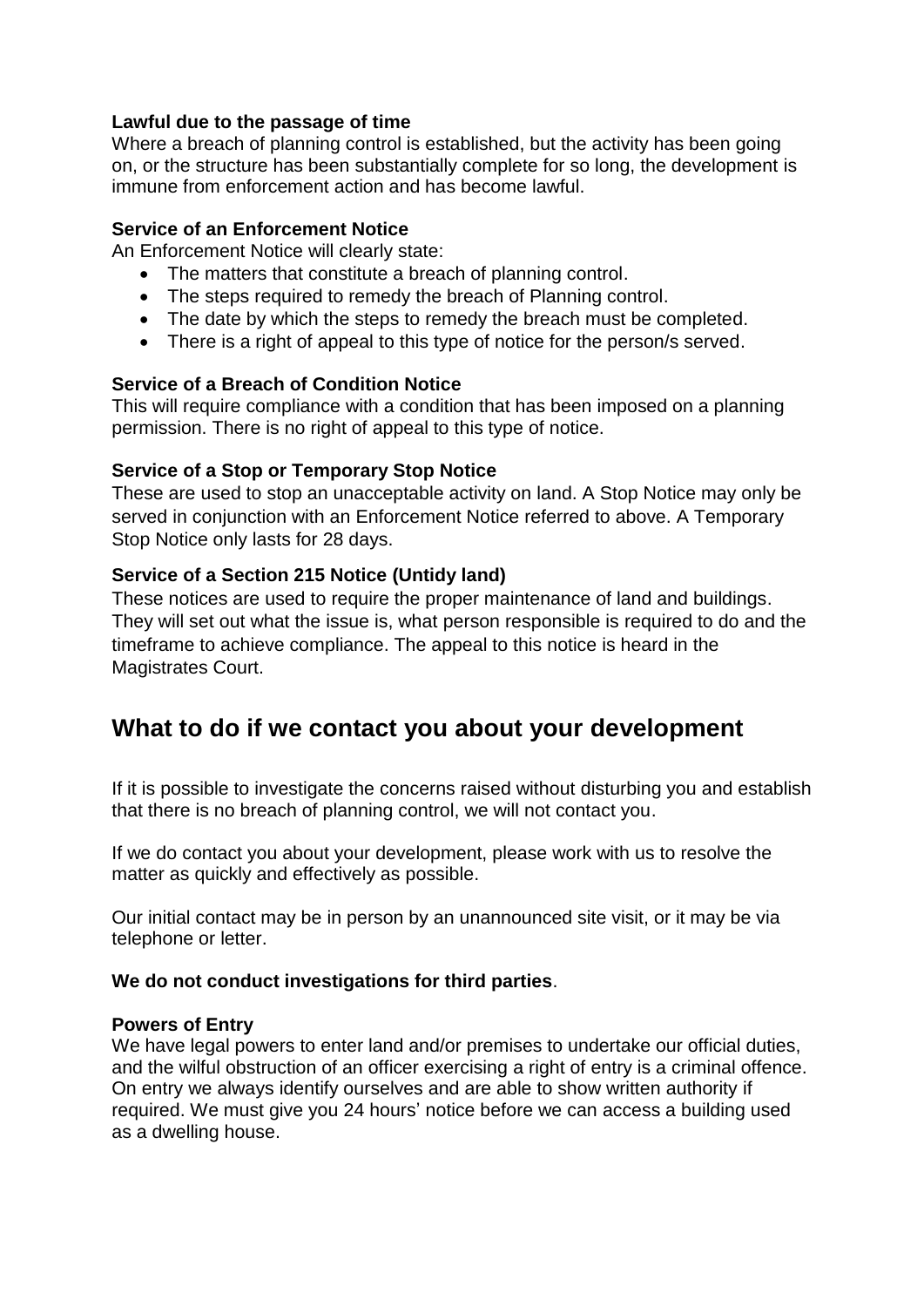#### **Lawful due to the passage of time**

Where a breach of planning control is established, but the activity has been going on, or the structure has been substantially complete for so long, the development is immune from enforcement action and has become lawful.

#### **Service of an Enforcement Notice**

An Enforcement Notice will clearly state:

- The matters that constitute a breach of planning control.
- The steps required to remedy the breach of Planning control.
- The date by which the steps to remedy the breach must be completed.
- There is a right of appeal to this type of notice for the person/s served.

#### **Service of a Breach of Condition Notice**

This will require compliance with a condition that has been imposed on a planning permission. There is no right of appeal to this type of notice.

#### **Service of a Stop or Temporary Stop Notice**

These are used to stop an unacceptable activity on land. A Stop Notice may only be served in conjunction with an Enforcement Notice referred to above. A Temporary Stop Notice only lasts for 28 days.

#### **Service of a Section 215 Notice (Untidy land)**

These notices are used to require the proper maintenance of land and buildings. They will set out what the issue is, what person responsible is required to do and the timeframe to achieve compliance. The appeal to this notice is heard in the Magistrates Court.

## **What to do if we contact you about your development**

If it is possible to investigate the concerns raised without disturbing you and establish that there is no breach of planning control, we will not contact you.

If we do contact you about your development, please work with us to resolve the matter as quickly and effectively as possible.

Our initial contact may be in person by an unannounced site visit, or it may be via telephone or letter.

#### **We do not conduct investigations for third parties**.

#### **Powers of Entry**

We have legal powers to enter land and/or premises to undertake our official duties, and the wilful obstruction of an officer exercising a right of entry is a criminal offence. On entry we always identify ourselves and are able to show written authority if required. We must give you 24 hours' notice before we can access a building used as a dwelling house.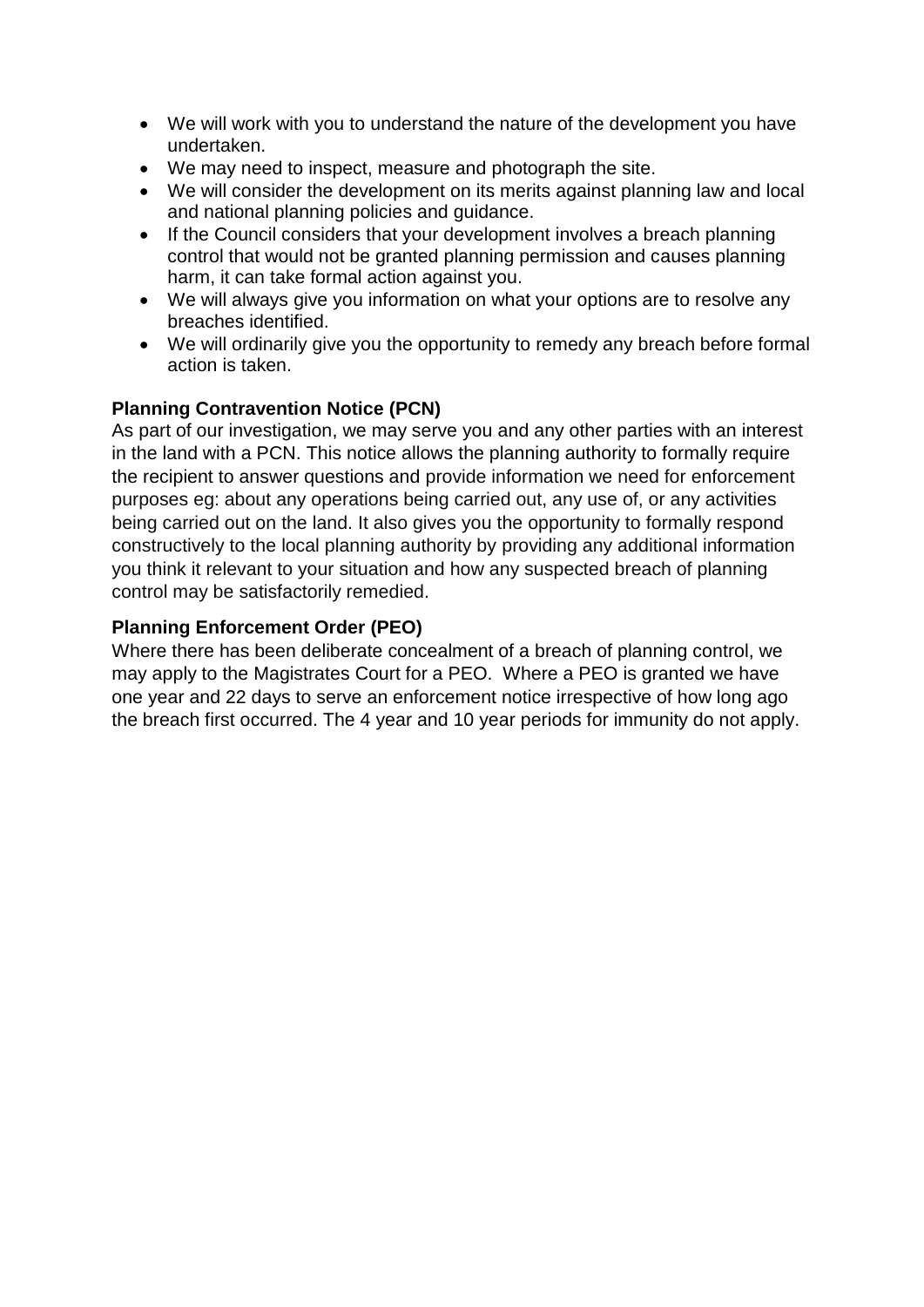- We will work with you to understand the nature of the development you have undertaken.
- We may need to inspect, measure and photograph the site.
- We will consider the development on its merits against planning law and local and national planning policies and guidance.
- If the Council considers that your development involves a breach planning control that would not be granted planning permission and causes planning harm, it can take formal action against you.
- We will always give you information on what your options are to resolve any breaches identified.
- We will ordinarily give you the opportunity to remedy any breach before formal action is taken.

#### **Planning Contravention Notice (PCN)**

As part of our investigation, we may serve you and any other parties with an interest in the land with a PCN. This notice allows the planning authority to formally require the recipient to answer questions and provide information we need for enforcement purposes eg: about any operations being carried out, any use of, or any activities being carried out on the land. It also gives you the opportunity to formally respond constructively to the local planning authority by providing any additional information you think it relevant to your situation and how any suspected breach of planning control may be satisfactorily remedied.

#### **Planning Enforcement Order (PEO)**

Where there has been deliberate concealment of a breach of planning control, we may apply to the Magistrates Court for a PEO. Where a PEO is granted we have one year and 22 days to serve an enforcement notice irrespective of how long ago the breach first occurred. The 4 year and 10 year periods for immunity do not apply.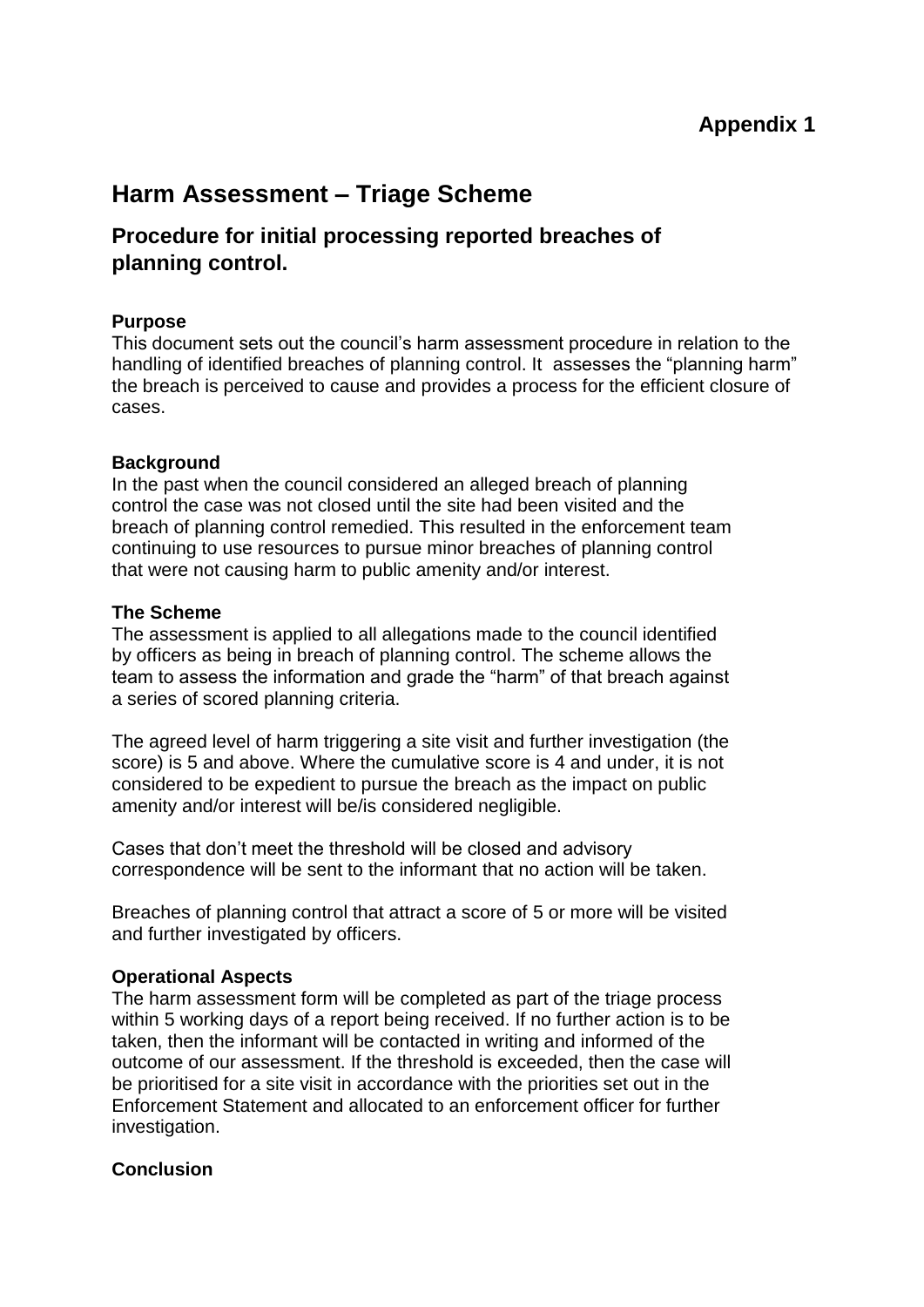## **Harm Assessment – Triage Scheme**

## **Procedure for initial processing reported breaches of planning control.**

#### **Purpose**

This document sets out the council's harm assessment procedure in relation to the handling of identified breaches of planning control. It assesses the "planning harm" the breach is perceived to cause and provides a process for the efficient closure of cases.

#### **Background**

In the past when the council considered an alleged breach of planning control the case was not closed until the site had been visited and the breach of planning control remedied. This resulted in the enforcement team continuing to use resources to pursue minor breaches of planning control that were not causing harm to public amenity and/or interest.

#### **The Scheme**

The assessment is applied to all allegations made to the council identified by officers as being in breach of planning control. The scheme allows the team to assess the information and grade the "harm" of that breach against a series of scored planning criteria.

The agreed level of harm triggering a site visit and further investigation (the score) is 5 and above. Where the cumulative score is 4 and under, it is not considered to be expedient to pursue the breach as the impact on public amenity and/or interest will be/is considered negligible.

Cases that don't meet the threshold will be closed and advisory correspondence will be sent to the informant that no action will be taken.

Breaches of planning control that attract a score of 5 or more will be visited and further investigated by officers.

#### **Operational Aspects**

The harm assessment form will be completed as part of the triage process within 5 working days of a report being received. If no further action is to be taken, then the informant will be contacted in writing and informed of the outcome of our assessment. If the threshold is exceeded, then the case will be prioritised for a site visit in accordance with the priorities set out in the Enforcement Statement and allocated to an enforcement officer for further investigation.

#### **Conclusion**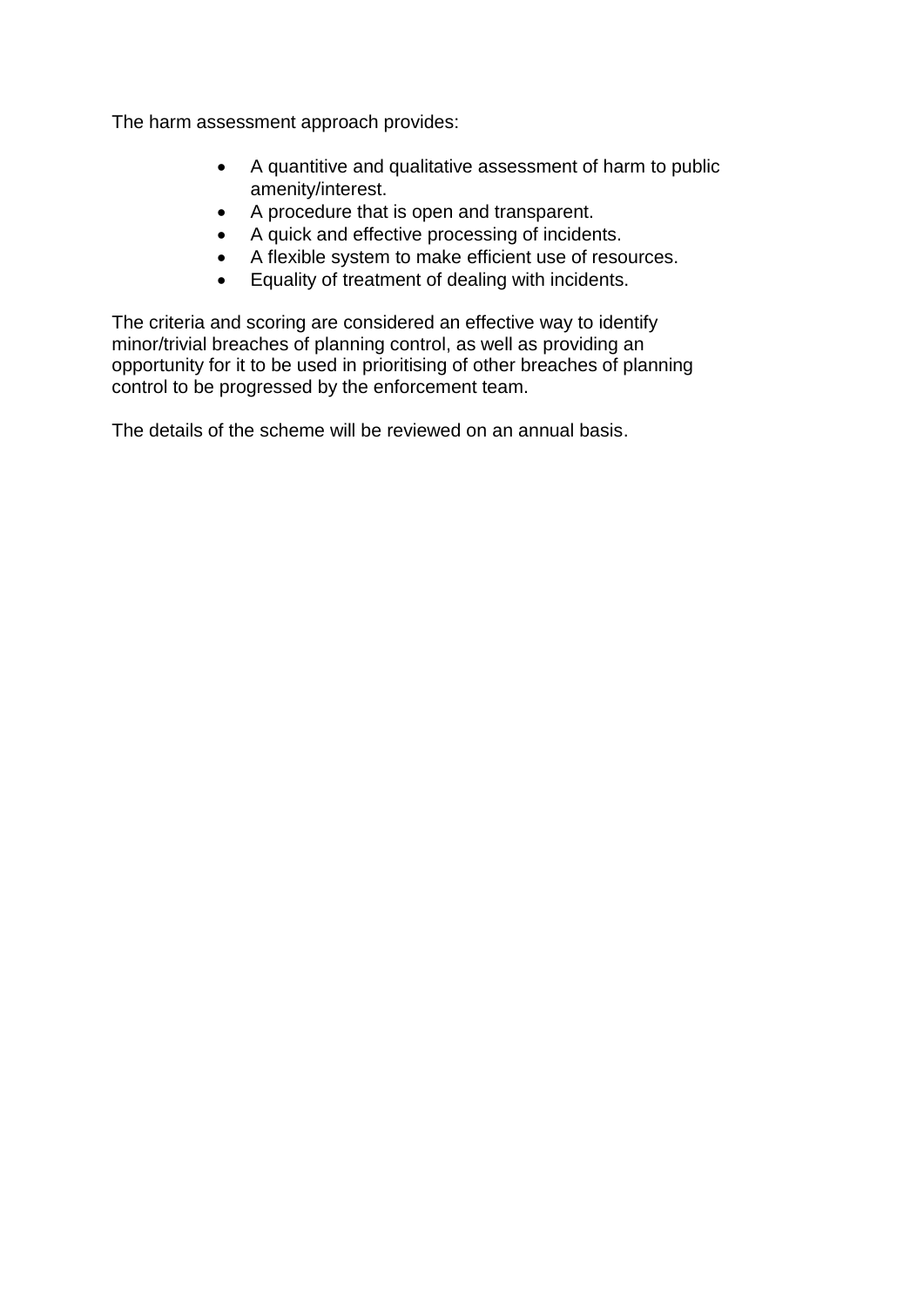The harm assessment approach provides:

- A quantitive and qualitative assessment of harm to public amenity/interest.
- A procedure that is open and transparent.
- A quick and effective processing of incidents.
- A flexible system to make efficient use of resources.
- Equality of treatment of dealing with incidents.

The criteria and scoring are considered an effective way to identify minor/trivial breaches of planning control, as well as providing an opportunity for it to be used in prioritising of other breaches of planning control to be progressed by the enforcement team.

The details of the scheme will be reviewed on an annual basis.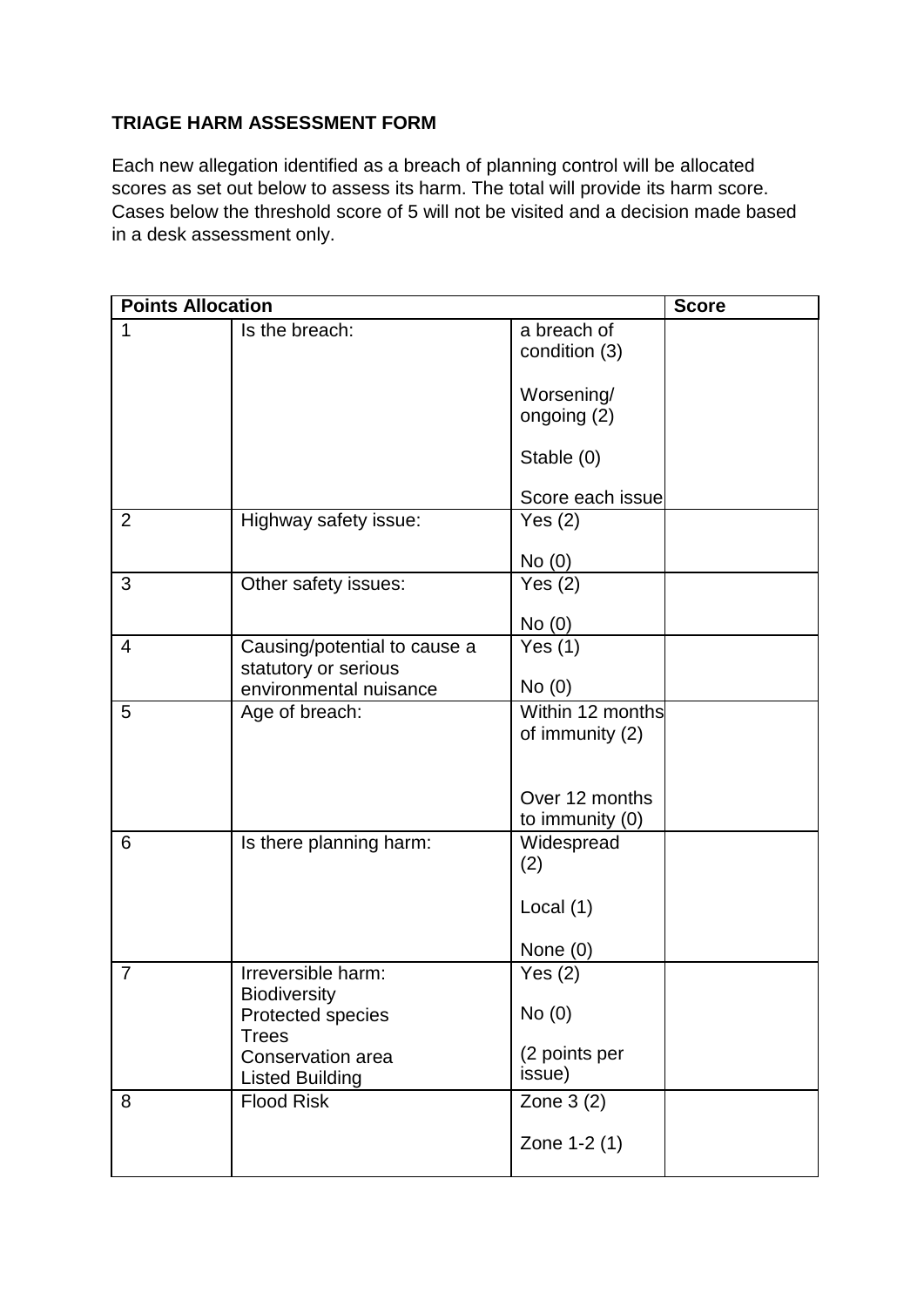#### **TRIAGE HARM ASSESSMENT FORM**

Each new allegation identified as a breach of planning control will be allocated scores as set out below to assess its harm. The total will provide its harm score. Cases below the threshold score of 5 will not be visited and a decision made based in a desk assessment only.

| <b>Points Allocation</b> |                                                |                              | <b>Score</b> |
|--------------------------|------------------------------------------------|------------------------------|--------------|
| 1                        | Is the breach:                                 | a breach of<br>condition (3) |              |
|                          |                                                | Worsening/<br>ongoing (2)    |              |
|                          |                                                | Stable (0)                   |              |
|                          |                                                | Score each issue             |              |
| $\overline{2}$           | Highway safety issue:                          | Yes $(2)$                    |              |
|                          |                                                | No(0)                        |              |
| 3                        | Other safety issues:                           | Yes $(2)$                    |              |
|                          |                                                | No(0)                        |              |
| 4                        | Causing/potential to cause a                   | Yes $(1)$                    |              |
|                          | statutory or serious<br>environmental nuisance | No(0)                        |              |
| 5                        | Age of breach:                                 | Within 12 months             |              |
|                          |                                                | of immunity (2)              |              |
|                          |                                                |                              |              |
|                          |                                                | Over 12 months               |              |
|                          |                                                | to immunity (0)              |              |
| 6                        | Is there planning harm:                        | Widespread                   |              |
|                          |                                                | (2)                          |              |
|                          |                                                | Local $(1)$                  |              |
|                          |                                                | None $(0)$                   |              |
| $\overline{7}$           | Irreversible harm:                             | Yes $(2)$                    |              |
|                          | <b>Biodiversity</b><br>Protected species       | No(0)                        |              |
|                          | <b>Trees</b>                                   |                              |              |
|                          | Conservation area                              | (2 points per                |              |
|                          | <b>Listed Building</b>                         | issue)                       |              |
| 8                        | <b>Flood Risk</b>                              | Zone $3(2)$                  |              |
|                          |                                                | Zone 1-2 (1)                 |              |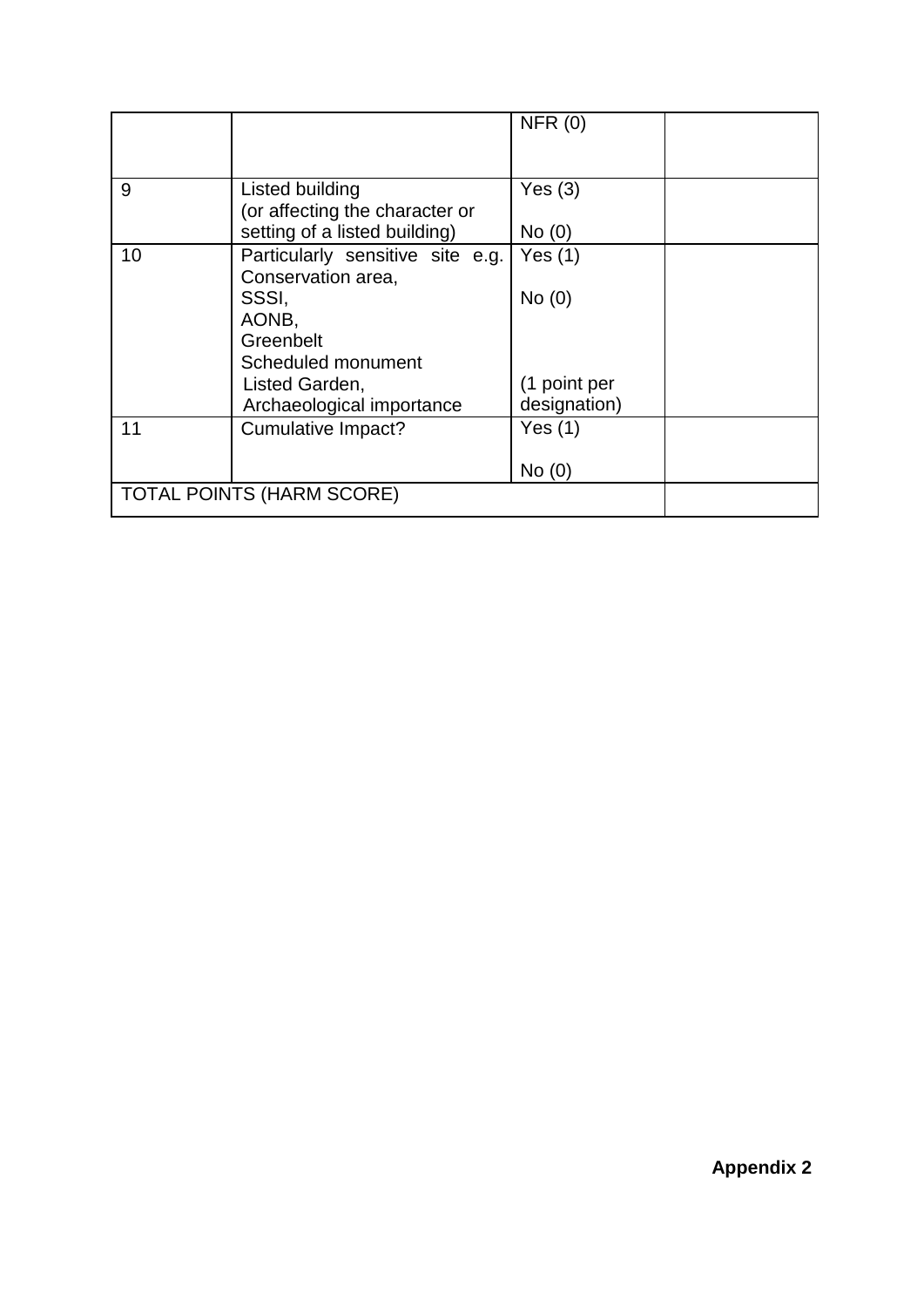|    |                                                   | NFR(0)       |
|----|---------------------------------------------------|--------------|
| 9  | Listed building<br>(or affecting the character or | Yes $(3)$    |
|    | setting of a listed building)                     | No(0)        |
| 10 | Particularly sensitive site e.g.                  | Yes $(1)$    |
|    | Conservation area,<br>SSSI,                       | No(0)        |
|    | AONB,                                             |              |
|    | Greenbelt                                         |              |
|    | Scheduled monument                                |              |
|    | Listed Garden,                                    | (1 point per |
|    | Archaeological importance                         | designation) |
| 11 | Cumulative Impact?                                | Yes $(1)$    |
|    |                                                   | No(0)        |
|    | <b>TOTAL POINTS (HARM SCORE)</b>                  |              |